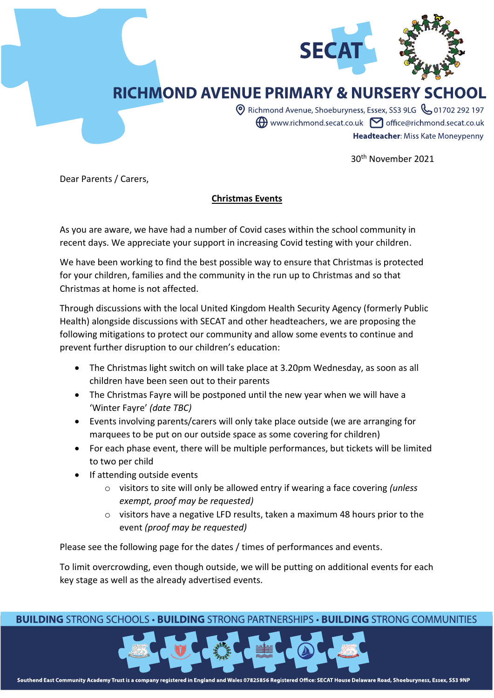

## **RICHMOND AVENUE PRIMARY & NURSERY SCHOOL**

© Richmond Avenue, Shoeburyness, Essex, SS3 9LG & 01702 292 197  $\bigoplus$  www.richmond.secat.co.uk  $\bigtriangledown$  office@richmond.secat.co.uk Headteacher: Miss Kate Moneypenny

30th November 2021

Dear Parents / Carers,

## **Christmas Events**

As you are aware, we have had a number of Covid cases within the school community in recent days. We appreciate your support in increasing Covid testing with your children.

We have been working to find the best possible way to ensure that Christmas is protected for your children, families and the community in the run up to Christmas and so that Christmas at home is not affected.

Through discussions with the local United Kingdom Health Security Agency (formerly Public Health) alongside discussions with SECAT and other headteachers, we are proposing the following mitigations to protect our community and allow some events to continue and prevent further disruption to our children's education:

- The Christmas light switch on will take place at 3.20pm Wednesday, as soon as all children have been seen out to their parents
- The Christmas Fayre will be postponed until the new year when we will have a 'Winter Fayre' *(date TBC)*
- Events involving parents/carers will only take place outside (we are arranging for marquees to be put on our outside space as some covering for children)
- For each phase event, there will be multiple performances, but tickets will be limited to two per child
- If attending outside events
	- o visitors to site will only be allowed entry if wearing a face covering *(unless exempt, proof may be requested)*
	- o visitors have a negative LFD results, taken a maximum 48 hours prior to the event *(proof may be requested)*

Please see the following page for the dates / times of performances and events.

To limit overcrowding, even though outside, we will be putting on additional events for each key stage as well as the already advertised events.

## **BUILDING STRONG SCHOOLS • BUILDING STRONG PARTNERSHIPS • BUILDING STRONG COMMUNITIES**